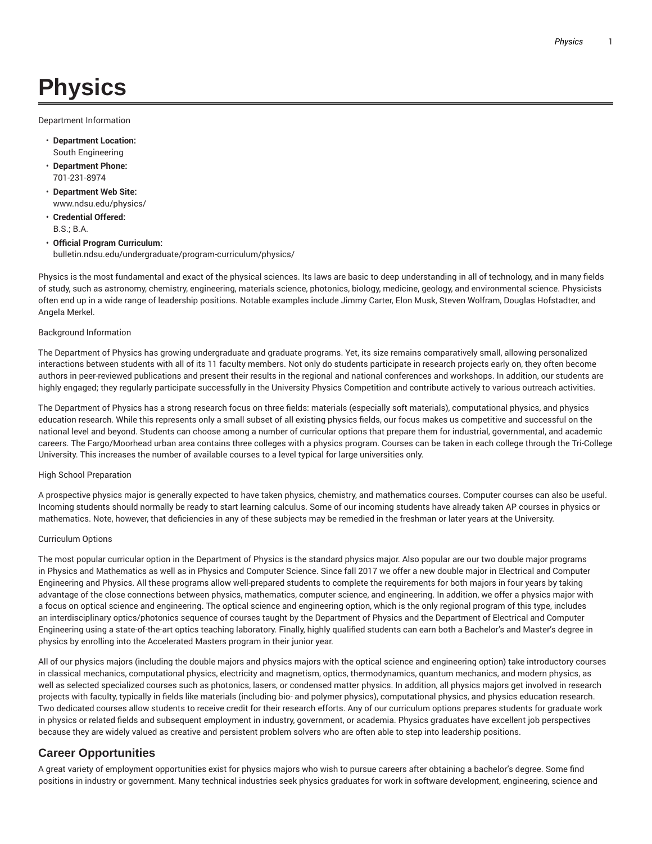# **Physics**

Department Information

- **Department Location:** South Engineering
- **Department Phone:** 701-231-8974
- **Department Web Site:** www.ndsu.edu/physics/
- **Credential Offered:** B.S.; B.A.
- **Official Program Curriculum:** bulletin.ndsu.edu/undergraduate/program-curriculum/physics/

Physics is the most fundamental and exact of the physical sciences. Its laws are basic to deep understanding in all of technology, and in many fields of study, such as astronomy, chemistry, engineering, materials science, photonics, biology, medicine, geology, and environmental science. Physicists often end up in a wide range of leadership positions. Notable examples include Jimmy Carter, Elon Musk, Steven Wolfram, Douglas Hofstadter, and Angela Merkel.

### Background Information

The Department of Physics has growing undergraduate and graduate programs. Yet, its size remains comparatively small, allowing personalized interactions between students with all of its 11 faculty members. Not only do students participate in research projects early on, they often become authors in peer-reviewed publications and present their results in the regional and national conferences and workshops. In addition, our students are highly engaged; they regularly participate successfully in the University Physics Competition and contribute actively to various outreach activities.

The Department of Physics has a strong research focus on three fields: materials (especially soft materials), computational physics, and physics education research. While this represents only a small subset of all existing physics fields, our focus makes us competitive and successful on the national level and beyond. Students can choose among a number of curricular options that prepare them for industrial, governmental, and academic careers. The Fargo/Moorhead urban area contains three colleges with a physics program. Courses can be taken in each college through the Tri-College University. This increases the number of available courses to a level typical for large universities only.

#### High School Preparation

A prospective physics major is generally expected to have taken physics, chemistry, and mathematics courses. Computer courses can also be useful. Incoming students should normally be ready to start learning calculus. Some of our incoming students have already taken AP courses in physics or mathematics. Note, however, that deficiencies in any of these subjects may be remedied in the freshman or later years at the University.

#### Curriculum Options

The most popular curricular option in the Department of Physics is the standard physics major. Also popular are our two double major programs in Physics and Mathematics as well as in Physics and Computer Science. Since fall 2017 we offer a new double major in Electrical and Computer Engineering and Physics. All these programs allow well-prepared students to complete the requirements for both majors in four years by taking advantage of the close connections between physics, mathematics, computer science, and engineering. In addition, we offer a physics major with a focus on optical science and engineering. The optical science and engineering option, which is the only regional program of this type, includes an interdisciplinary optics/photonics sequence of courses taught by the Department of Physics and the Department of Electrical and Computer Engineering using a state-of-the-art optics teaching laboratory. Finally, highly qualified students can earn both a Bachelor's and Master's degree in physics by enrolling into the Accelerated Masters program in their junior year.

All of our physics majors (including the double majors and physics majors with the optical science and engineering option) take introductory courses in classical mechanics, computational physics, electricity and magnetism, optics, thermodynamics, quantum mechanics, and modern physics, as well as selected specialized courses such as photonics, lasers, or condensed matter physics. In addition, all physics majors get involved in research projects with faculty, typically in fields like materials (including bio- and polymer physics), computational physics, and physics education research. Two dedicated courses allow students to receive credit for their research efforts. Any of our curriculum options prepares students for graduate work in physics or related fields and subsequent employment in industry, government, or academia. Physics graduates have excellent job perspectives because they are widely valued as creative and persistent problem solvers who are often able to step into leadership positions.

## **Career Opportunities**

A great variety of employment opportunities exist for physics majors who wish to pursue careers after obtaining a bachelor's degree. Some find positions in industry or government. Many technical industries seek physics graduates for work in software development, engineering, science and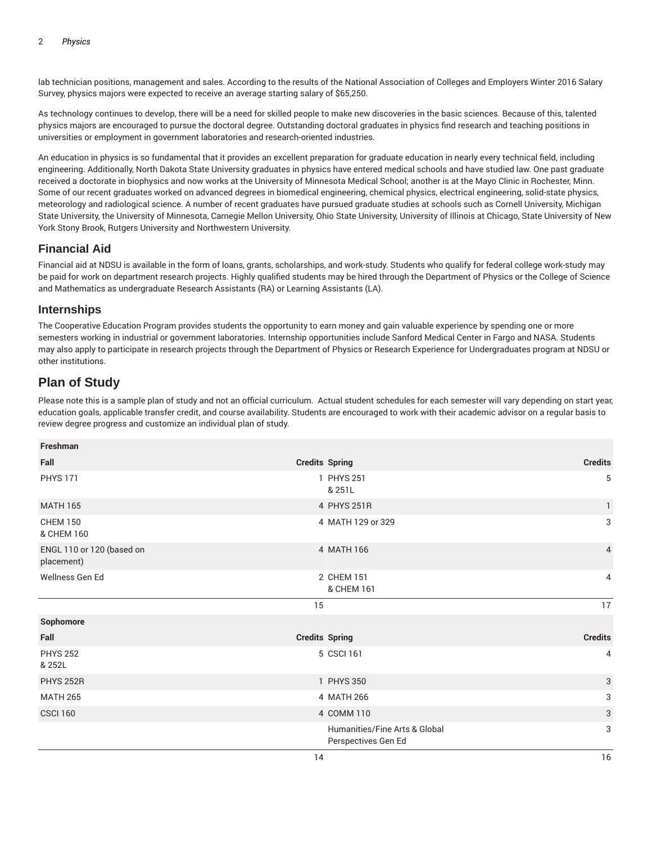lab technician positions, management and sales. According to the results of the National Association of Colleges and Employers Winter 2016 Salary Survey, physics majors were expected to receive an average starting salary of \$65,250.

As technology continues to develop, there will be a need for skilled people to make new discoveries in the basic sciences. Because of this, talented physics majors are encouraged to pursue the doctoral degree. Outstanding doctoral graduates in physics find research and teaching positions in universities or employment in government laboratories and research-oriented industries.

An education in physics is so fundamental that it provides an excellent preparation for graduate education in nearly every technical field, including engineering. Additionally, North Dakota State University graduates in physics have entered medical schools and have studied law. One past graduate received a doctorate in biophysics and now works at the University of Minnesota Medical School; another is at the Mayo Clinic in Rochester, Minn. Some of our recent graduates worked on advanced degrees in biomedical engineering, chemical physics, electrical engineering, solid-state physics, meteorology and radiological science. A number of recent graduates have pursued graduate studies at schools such as Cornell University, Michigan State University, the University of Minnesota, Carnegie Mellon University, Ohio State University, University of Illinois at Chicago, State University of New York Stony Brook, Rutgers University and Northwestern University.

## **Financial Aid**

Financial aid at NDSU is available in the form of loans, grants, scholarships, and work-study. Students who qualify for federal college work-study may be paid for work on department research projects. Highly qualified students may be hired through the Department of Physics or the College of Science and Mathematics as undergraduate Research Assistants (RA) or Learning Assistants (LA).

## **Internships**

The Cooperative Education Program provides students the opportunity to earn money and gain valuable experience by spending one or more semesters working in industrial or government laboratories. Internship opportunities include Sanford Medical Center in Fargo and NASA. Students may also apply to participate in research projects through the Department of Physics or Research Experience for Undergraduates program at NDSU or other institutions.

# **Plan of Study**

Please note this is a sample plan of study and not an official curriculum. Actual student schedules for each semester will vary depending on start year, education goals, applicable transfer credit, and course availability. Students are encouraged to work with their academic advisor on a regular basis to review degree progress and customize an individual plan of study.

| Freshman                                |                       |                                                      |                |
|-----------------------------------------|-----------------------|------------------------------------------------------|----------------|
| Fall                                    | <b>Credits Spring</b> |                                                      | <b>Credits</b> |
| <b>PHYS 171</b>                         |                       | 1 PHYS 251<br>& 251L                                 | 5              |
| <b>MATH 165</b>                         |                       | 4 PHYS 251R                                          | $\mathbf{1}$   |
| <b>CHEM 150</b><br>& CHEM 160           |                       | 4 MATH 129 or 329                                    | 3              |
| ENGL 110 or 120 (based on<br>placement) |                       | 4 MATH 166                                           | $\overline{4}$ |
| Wellness Gen Ed                         |                       | 2 CHEM 151<br>& CHEM 161                             | 4              |
|                                         | 15                    |                                                      | 17             |
| Sophomore                               |                       |                                                      |                |
| Fall                                    | <b>Credits Spring</b> |                                                      | <b>Credits</b> |
| <b>PHYS 252</b><br>& 252L               |                       | 5 CSCI 161                                           | 4              |
| <b>PHYS 252R</b>                        |                       | 1 PHYS 350                                           | 3              |
| <b>MATH 265</b>                         |                       | 4 MATH 266                                           | 3              |
| <b>CSCI 160</b>                         |                       | 4 COMM 110                                           | $\mathbf{3}$   |
|                                         |                       | Humanities/Fine Arts & Global<br>Perspectives Gen Ed | 3              |
|                                         | 14                    |                                                      | 16             |